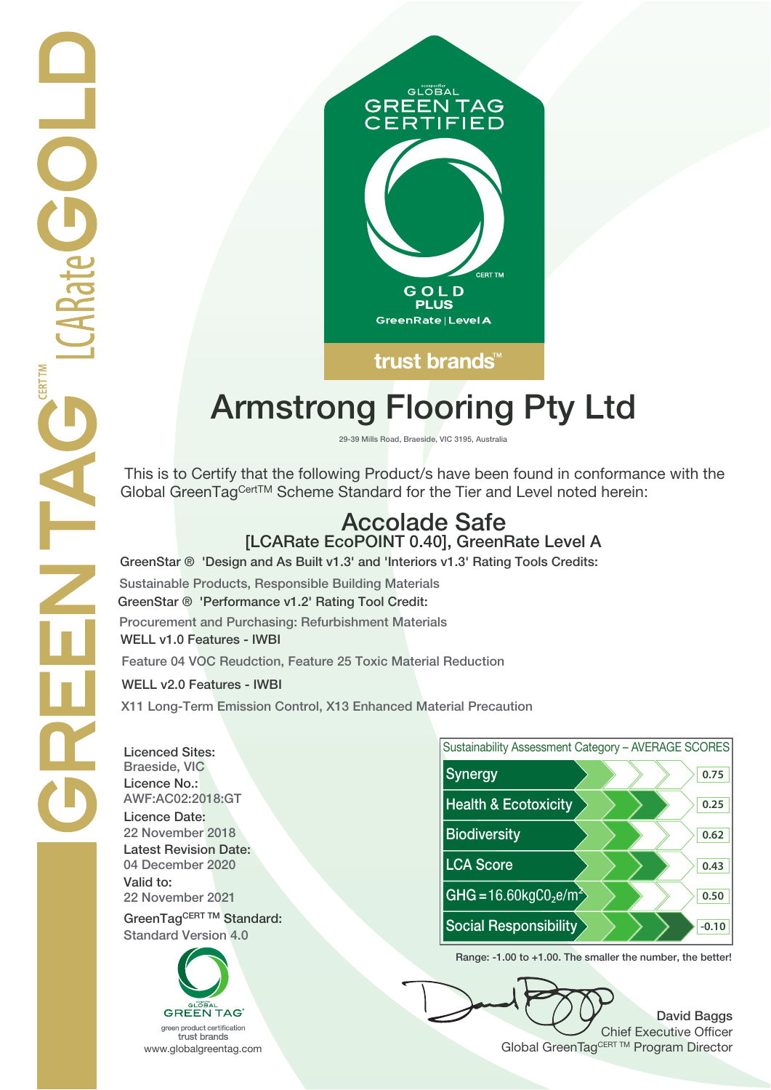

# **Armstrong Flooring Pty Ltd**

**29-39 Mills Road, Braeside, VIC 3195, Australia**

 This is to Certify that the following Product/s have been found in conformance with the Global GreenTagCertTM Scheme Standard for the Tier and Level noted herein:

## **Accolade Safe [LCARate EcoPOINT 0.40], GreenRate Level A**

**GreenStar ® 'Design and As Built v1.3' and 'Interiors v1.3' Rating Tools Credits:**

**Sustainable Products, Responsible Building Materials GreenStar ® 'Performance v1.2' Rating Tool Credit: Procurement and Purchasing: Refurbishment Materials WELL v1.0 Features - IWBI**

**Feature 04 VOC Reudction, Feature 25 Toxic Material Reduction**

**WELL v2.0 Features - IWBI**

CARate GOL

**CERT TM** 

**X11 Long-Term Emission Control, X13 Enhanced Material Precaution**

**Licenced Sites: Licence No.: Licence Date: Latest Revision Date: Valid to:**

**Standard Version 4.0**





**Range: -1.00 to +1.00. The smaller the number, the better!**

**David Baggs** Chief Executive Officer WWW.globalgreentag.com **Program Director** Clobal GreenTagCERT TM Program Director